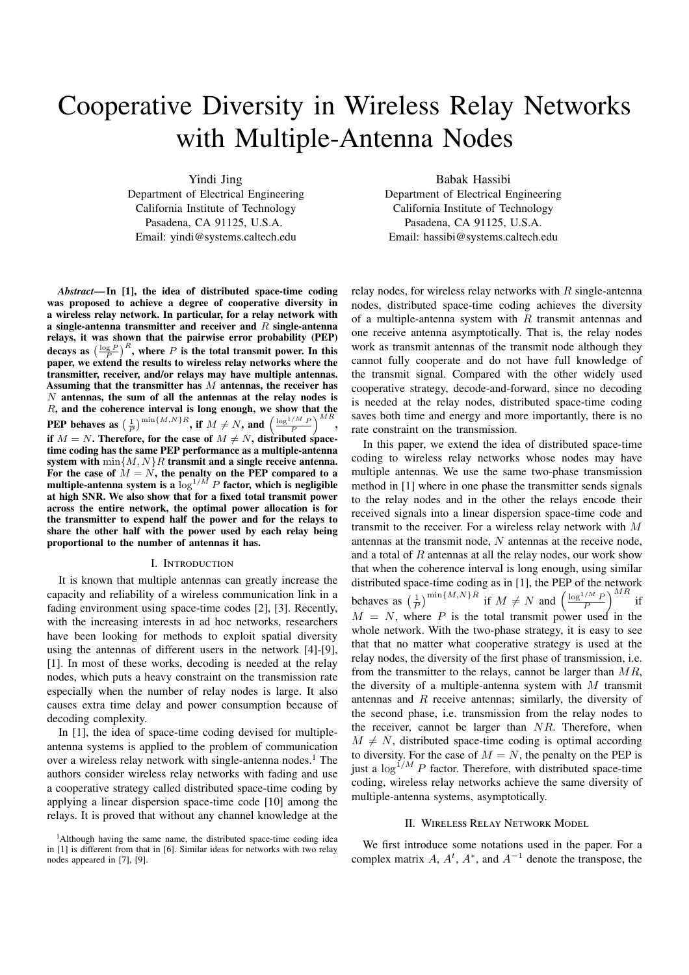# Cooperative Diversity in Wireless Relay Networks with Multiple-Antenna Nodes

Yindi Jing

Department of Electrical Engineering California Institute of Technology Pasadena, CA 91125, U.S.A. Email: yindi@systems.caltech.edu

*Abstract***— In [1], the idea of distributed space-time coding was proposed to achieve a degree of cooperative diversity in a wireless relay network. In particular, for a relay network with a single-antenna transmitter and receiver and** R **single-antenna relays, it was shown that the pairwise error probability (PEP)** decays as  $\left(\frac{\log P}{P}\right)^R$ , where P is the total transmit power. In this **paper, we extend the results to wireless relay networks where the transmitter, receiver, and/or relays may have multiple antennas. Assuming that the transmitter has** M **antennas, the receiver has** N **antennas, the sum of all the antennas at the relay nodes is** R**, and the coherence interval is long enough, we show that the PEP behaves as**  $\left(\frac{1}{P}\right)^{\min\{M,N\}R}$ , **if**  $M \neq N$ , **and**  $\left(\frac{\log^{1/M} P}{P}\right)^{MR}$ , if  $M = N$ . Therefore, for the case of  $M \neq N$ , distributed space**time coding has the same PEP performance as a multiple-antenna system with** min{M,N}R **transmit and a single receive antenna.** For the case of  $\tilde{M} = N$ , the penalty on the PEP compared to a **multiple-antenna system is a**  $\log^{1/M} P$  **factor, which is negligible at high SNR. We also show that for a fixed total transmit power across the entire network, the optimal power allocation is for the transmitter to expend half the power and for the relays to share the other half with the power used by each relay being proportional to the number of antennas it has.**

#### I. Introduction

It is known that multiple antennas can greatly increase the capacity and reliability of a wireless communication link in a fading environment using space-time codes [2], [3]. Recently, with the increasing interests in ad hoc networks, researchers have been looking for methods to exploit spatial diversity using the antennas of different users in the network [4]-[9], [1]. In most of these works, decoding is needed at the relay nodes, which puts a heavy constraint on the transmission rate especially when the number of relay nodes is large. It also causes extra time delay and power consumption because of decoding complexity.

In [1], the idea of space-time coding devised for multipleantenna systems is applied to the problem of communication over a wireless relay network with single-antenna nodes.<sup>1</sup> The authors consider wireless relay networks with fading and use a cooperative strategy called distributed space-time coding by applying a linear dispersion space-time code [10] among the relays. It is proved that without any channel knowledge at the

Babak Hassibi Department of Electrical Engineering California Institute of Technology Pasadena, CA 91125, U.S.A. Email: hassibi@systems.caltech.edu

relay nodes, for wireless relay networks with  $R$  single-antenna nodes, distributed space-time coding achieves the diversity of a multiple-antenna system with  $R$  transmit antennas and one receive antenna asymptotically. That is, the relay nodes work as transmit antennas of the transmit node although they cannot fully cooperate and do not have full knowledge of the transmit signal. Compared with the other widely used cooperative strategy, decode-and-forward, since no decoding is needed at the relay nodes, distributed space-time coding saves both time and energy and more importantly, there is no rate constraint on the transmission.

In this paper, we extend the idea of distributed space-time coding to wireless relay networks whose nodes may have multiple antennas. We use the same two-phase transmission method in [1] where in one phase the transmitter sends signals to the relay nodes and in the other the relays encode their received signals into a linear dispersion space-time code and transmit to the receiver. For a wireless relay network with M antennas at the transmit node,  $N$  antennas at the receive node, and a total of  $R$  antennas at all the relay nodes, our work show that when the coherence interval is long enough, using similar distributed space-time coding as in [1], the PEP of the network behaves as  $\left(\frac{1}{P}\right)^{\min\{M,N\}R}$  if  $M \neq N$  and  $\left(\frac{\log^{1/M} P}{P}\right)^{MR}$  if  $M = N$ , where P is the total transmit power used in the whole network. With the two-phase strategy, it is easy to see that that no matter what cooperative strategy is used at the relay nodes, the diversity of the first phase of transmission, i.e. from the transmitter to the relays, cannot be larger than  $MR$ , the diversity of a multiple-antenna system with  $M$  transmit antennas and  $R$  receive antennas; similarly, the diversity of the second phase, i.e. transmission from the relay nodes to the receiver, cannot be larger than  $NR$ . Therefore, when  $M \neq N$ , distributed space-time coding is optimal according to diversity. For the case of  $M = N$ , the penalty on the PEP is just a  $\log^{1/M} P$  factor. Therefore, with distributed space-time coding, wireless relay networks achieve the same diversity of multiple-antenna systems, asymptotically.

#### II. Wireless Relay Network Model

We first introduce some notations used in the paper. For a complex matrix A,  $A^t$ ,  $A^*$ , and  $A^{-1}$  denote the transpose, the

<sup>&</sup>lt;sup>1</sup>Although having the same name, the distributed space-time coding idea in [1] is different from that in [6]. Similar ideas for networks with two relay nodes appeared in [7], [9].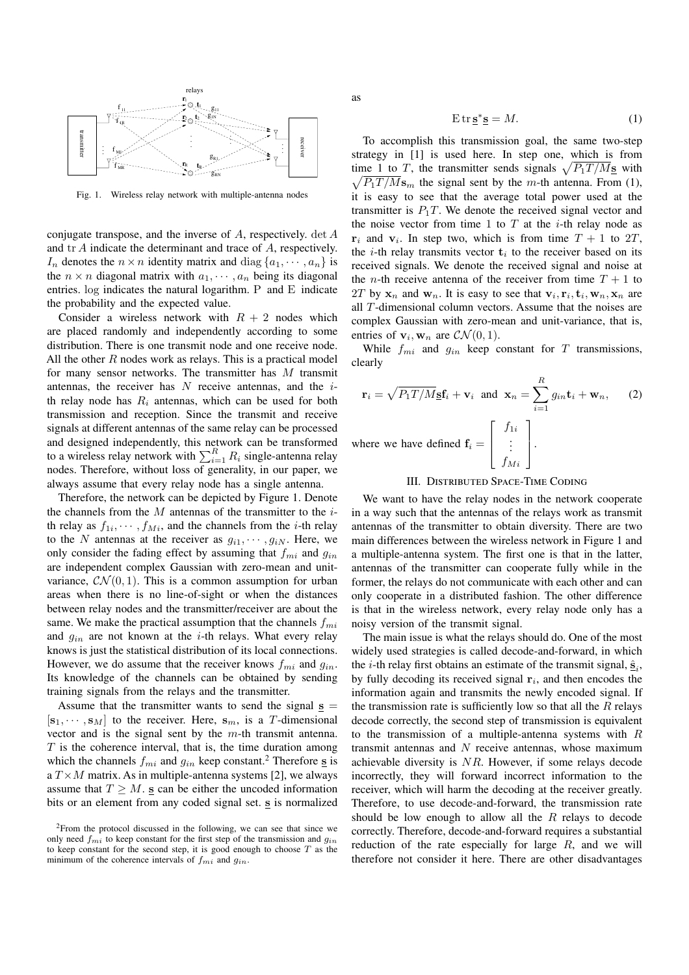

Fig. 1. Wireless relay network with multiple-antenna nodes

conjugate transpose, and the inverse of A, respectively. det A and tr A indicate the determinant and trace of A, respectively.  $I_n$  denotes the  $n \times n$  identity matrix and diag  $\{a_1, \dots, a_n\}$  is the  $n \times n$  diagonal matrix with  $a_1, \dots, a_n$  being its diagonal entries. log indicates the natural logarithm. P and E indicate the probability and the expected value.

Consider a wireless network with  $R + 2$  nodes which are placed randomly and independently according to some distribution. There is one transmit node and one receive node. All the other  $R$  nodes work as relays. This is a practical model for many sensor networks. The transmitter has M transmit antennas, the receiver has  $N$  receive antennas, and the  $i$ th relay node has  $R_i$  antennas, which can be used for both transmission and reception. Since the transmit and receive signals at different antennas of the same relay can be processed and designed independently, this network can be transformed<br>to a wireless relay network with  $\sum_{i=1}^{R} R_i$  single-antenna relay nodes. Therefore, without loss of generality, in our paper, we always assume that every relay node has a single antenna.

Therefore, the network can be depicted by Figure 1. Denote the channels from the  $M$  antennas of the transmitter to the  $i$ th relay as  $f_{1i}, \dots, f_{Mi}$ , and the channels from the *i*-th relay to the N antennas at the receiver as  $g_{i1}, \dots, g_{iN}$ . Here, we only consider the fading effect by assuming that  $f_{mi}$  and  $g_{in}$ are independent complex Gaussian with zero-mean and unitvariance,  $CN(0, 1)$ . This is a common assumption for urban areas when there is no line-of-sight or when the distances between relay nodes and the transmitter/receiver are about the same. We make the practical assumption that the channels  $f_{mi}$ and  $g_{in}$  are not known at the *i*-th relays. What every relay knows is just the statistical distribution of its local connections. However, we do assume that the receiver knows  $f_{mi}$  and  $g_{in}$ . Its knowledge of the channels can be obtained by sending training signals from the relays and the transmitter.

Assume that the transmitter wants to send the signal  $s =$  $[\mathbf{s}_1, \cdots, \mathbf{s}_M]$  to the receiver. Here,  $\mathbf{s}_m$ , is a T-dimensional vector and is the signal sent by the  $m$ -th transmit antenna.  $T$  is the coherence interval, that is, the time duration among which the channels  $f_{mi}$  and  $g_{in}$  keep constant.<sup>2</sup> Therefore  $\underline{\mathbf{s}}$  is a  $T \times M$  matrix. As in multiple-antenna systems [2], we always assume that  $T \geq M$ . **s** can be either the uncoded information bits or an element from any coded signal set. **s** is normalized as

$$
E \operatorname{tr} \underline{\mathbf{s}}^* \underline{\mathbf{s}} = M. \tag{1}
$$

To accomplish this transmission goal, the same two-step strategy in [1] is used here. In step one, which is from time 1 to T, the transmitter sends signals  $\sqrt{P_1T/M_S}$  with  $\sqrt{P_1T/M}$ **s**<sub>m</sub> the signal sent by the m-th antenna. From (1), it is easy to see that the average total power used at the transmitter is  $P_1T$ . We denote the received signal vector and the noise vector from time 1 to  $T$  at the *i*-th relay node as  $\mathbf{r}_i$  and  $\mathbf{v}_i$ . In step two, which is from time  $T + 1$  to  $2T$ , the *i*-th relay transmits vector  $t_i$  to the receiver based on its received signals. We denote the received signal and noise at the *n*-th receive antenna of the receiver from time  $T + 1$  to  $2T$  by  $\mathbf{x}_n$  and  $\mathbf{w}_n$ . It is easy to see that  $\mathbf{v}_i, \mathbf{r}_i, \mathbf{t}_i, \mathbf{w}_n, \mathbf{x}_n$  are all T-dimensional column vectors. Assume that the noises are complex Gaussian with zero-mean and unit-variance, that is, entries of  $\mathbf{v}_i$ ,  $\mathbf{w}_n$  are  $\mathcal{CN}(0,1)$ .

While  $f_{mi}$  and  $g_{in}$  keep constant for T transmissions, clearly

$$
\mathbf{r}_{i} = \sqrt{P_{1}T/M_{\mathbf{\underline{S}}}}\mathbf{f}_{i} + \mathbf{v}_{i} \text{ and } \mathbf{x}_{n} = \sum_{i=1}^{R} g_{in}\mathbf{t}_{i} + \mathbf{w}_{n}, \quad (2)
$$
  
where we have defined 
$$
\mathbf{f}_{i} = \begin{bmatrix} f_{1i} \\ \vdots \\ f_{Mi} \end{bmatrix}.
$$

#### III. Distributed Space-Time Coding

We want to have the relay nodes in the network cooperate in a way such that the antennas of the relays work as transmit antennas of the transmitter to obtain diversity. There are two main differences between the wireless network in Figure 1 and a multiple-antenna system. The first one is that in the latter, antennas of the transmitter can cooperate fully while in the former, the relays do not communicate with each other and can only cooperate in a distributed fashion. The other difference is that in the wireless network, every relay node only has a noisy version of the transmit signal.

The main issue is what the relays should do. One of the most widely used strategies is called decode-and-forward, in which the *i*-th relay first obtains an estimate of the transmit signal,  $\hat{\mathbf{s}}_i$ , by fully decoding its received signal **r**i, and then encodes the information again and transmits the newly encoded signal. If the transmission rate is sufficiently low so that all the  $R$  relays decode correctly, the second step of transmission is equivalent to the transmission of a multiple-antenna systems with  $R$ transmit antennas and  $N$  receive antennas, whose maximum achievable diversity is NR. However, if some relays decode incorrectly, they will forward incorrect information to the receiver, which will harm the decoding at the receiver greatly. Therefore, to use decode-and-forward, the transmission rate should be low enough to allow all the  $R$  relays to decode correctly. Therefore, decode-and-forward requires a substantial reduction of the rate especially for large  $R$ , and we will therefore not consider it here. There are other disadvantages

<sup>2</sup>From the protocol discussed in the following, we can see that since we only need  $f_{mi}$  to keep constant for the first step of the transmission and  $g_{in}$ to keep constant for the second step, it is good enough to choose  $T$  as the minimum of the coherence intervals of  $f_{mi}$  and  $g_{in}$ .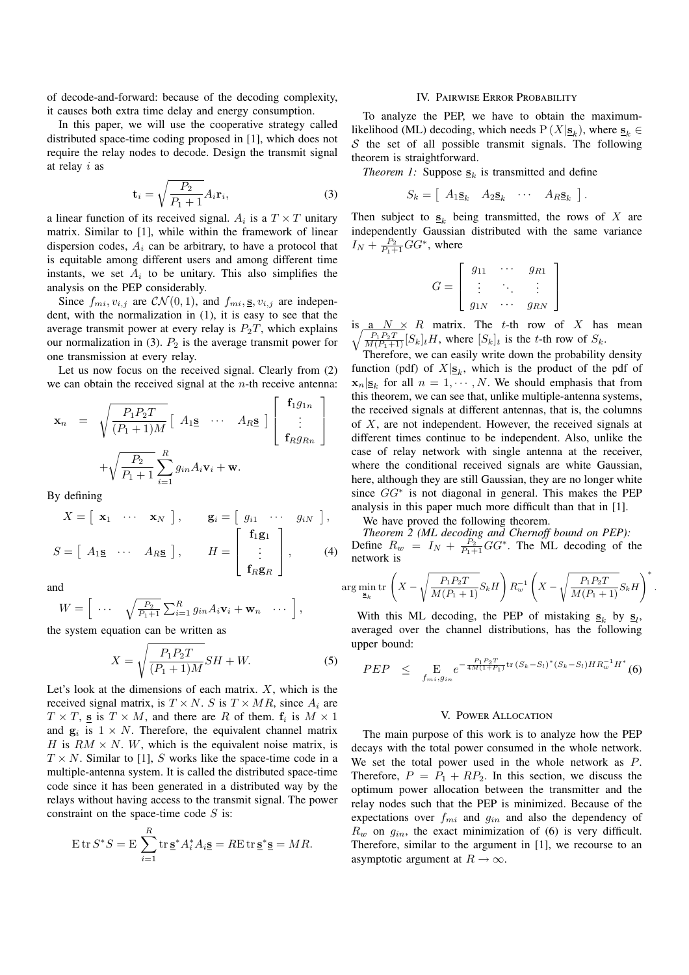of decode-and-forward: because of the decoding complexity, it causes both extra time delay and energy consumption.

In this paper, we will use the cooperative strategy called distributed space-time coding proposed in [1], which does not require the relay nodes to decode. Design the transmit signal at relay i as

$$
\mathbf{t}_{i} = \sqrt{\frac{P_{2}}{P_{1} + 1}} A_{i} \mathbf{r}_{i},\tag{3}
$$

a linear function of its received signal.  $A_i$  is a  $T \times T$  unitary matrix. Similar to [1], while within the framework of linear dispersion codes,  $A_i$  can be arbitrary, to have a protocol that is equitable among different users and among different time instants, we set  $A_i$  to be unitary. This also simplifies the analysis on the PEP considerably.

Since  $f_{mi}$ ,  $v_{i,j}$  are  $\mathcal{CN}(0, 1)$ , and  $f_{mi}$ , **s**,  $v_{i,j}$  are independent, with the normalization in (1), it is easy to see that the average transmit power at every relay is  $P_2T$ , which explains our normalization in (3).  $P_2$  is the average transmit power for one transmission at every relay.

Let us now focus on the received signal. Clearly from (2) we can obtain the received signal at the  $n$ -th receive antenna:

$$
\mathbf{x}_n = \sqrt{\frac{P_1 P_2 T}{(P_1 + 1)M}} \begin{bmatrix} A_1 \mathbf{s} & \cdots & A_R \mathbf{s} \end{bmatrix} \begin{bmatrix} \mathbf{f}_1 g_{1n} \\ \vdots \\ \mathbf{f}_R g_{Rn} \end{bmatrix} + \sqrt{\frac{P_2}{P_1 + 1}} \sum_{i=1}^R g_{in} A_i \mathbf{v}_i + \mathbf{w}.
$$

By defining

$$
X = \begin{bmatrix} \mathbf{x}_1 & \cdots & \mathbf{x}_N \end{bmatrix}, \quad \mathbf{g}_i = \begin{bmatrix} g_{i1} & \cdots & g_{iN} \end{bmatrix},
$$

$$
S = \begin{bmatrix} A_1 \mathbf{s} & \cdots & A_R \mathbf{s} \end{bmatrix}, \quad H = \begin{bmatrix} \mathbf{f}_1 \mathbf{g}_1 \\ \vdots \\ \mathbf{f}_R \mathbf{g}_R \end{bmatrix}, \quad (4)
$$

and

$$
W = \left[ \begin{array}{ccc} \cdots & \sqrt{\frac{P_2}{P_1+1}} \sum_{i=1}^R g_{in} A_i \mathbf{v}_i + \mathbf{w}_n & \cdots \end{array} \right],
$$

the system equation can be written as

$$
X = \sqrt{\frac{P_1 P_2 T}{(P_1 + 1)M}} S H + W.
$$
 (5)

Let's look at the dimensions of each matrix.  $X$ , which is the received signal matrix, is  $T \times N$ . S is  $T \times MR$ , since  $A_i$  are  $T \times T$ , **s** is  $T \times M$ , and there are R of them.  $f_i$  is  $M \times 1$ and  $\mathbf{g}_i$  is  $1 \times N$ . Therefore, the equivalent channel matrix H is  $RM \times N$ . W, which is the equivalent noise matrix, is  $T \times N$ . Similar to [1], S works like the space-time code in a multiple-antenna system. It is called the distributed space-time code since it has been generated in a distributed way by the relays without having access to the transmit signal. The power constraint on the space-time code  $S$  is:

$$
\operatorname{E} \operatorname{tr} S^* S = \operatorname{E} \sum_{i=1}^R \operatorname{tr} \underline{\mathbf{s}}^* A_i^* A_i \underline{\mathbf{s}} = R \operatorname{E} \operatorname{tr} \underline{\mathbf{s}}^* \underline{\mathbf{s}} = M R.
$$

#### IV. Pairwise Error Probability

To analyze the PEP, we have to obtain the maximumlikelihood (ML) decoding, which needs  $P(X|\mathbf{s}_k)$ , where  $\mathbf{s}_k \in$  $S$  the set of all possible transmit signals. The following theorem is straightforward.

*Theorem 1:* Suppose  $S_k$  is transmitted and define

$$
S_k = \left[ \begin{array}{cccc} A_1 \underline{\mathbf{s}}_k & A_2 \underline{\mathbf{s}}_k & \cdots & A_R \underline{\mathbf{s}}_k \end{array} \right]
$$

.

.

Then subject to  $S_k$  being transmitted, the rows of X are independently Gaussian distributed with the same variance  $I_N + \frac{P_2}{P_1+1}GG^*$ , where

$$
G = \left[ \begin{array}{ccc} g_{11} & \cdots & g_{R1} \\ \vdots & \ddots & \vdots \\ g_{1N} & \cdots & g_{RN} \end{array} \right]
$$

is  $\underline{a}$   $N \times R$  matrix. The t-th row of X has mean  $\sqrt{\frac{P_1 P_2 T}{M (P_1 + 1)}} [S_k]_t H$ , where  $[S_k]_t$  is the t-th row of  $S_k$ .

Therefore, we can easily write down the probability density function (pdf) of  $X|_{\mathbf{S}_k}$ , which is the product of the pdf of  $\mathbf{x}_n|\mathbf{s}_k$  for all  $n = 1, \dots, N$ . We should emphasis that from this theorem, we can see that, unlike multiple-antenna systems, the received signals at different antennas, that is, the columns of  $X$ , are not independent. However, the received signals at different times continue to be independent. Also, unlike the case of relay network with single antenna at the receiver, where the conditional received signals are white Gaussian, here, although they are still Gaussian, they are no longer white since  $GG^*$  is not diagonal in general. This makes the PEP analysis in this paper much more difficult than that in [1].

We have proved the following theorem.

*Theorem 2 (ML decoding and Chernoff bound on PEP):*<br>
Define  $R_w = I_N + \frac{P_2}{P_1+1}GG^*$ . The ML decoding of the network is

$$
\arg\min_{\mathbf{S}_k} \text{tr}\left(X - \sqrt{\frac{P_1 P_2 T}{M(P_1 + 1)}} S_k H\right) R_w^{-1} \left(X - \sqrt{\frac{P_1 P_2 T}{M(P_1 + 1)}} S_k H\right)^*
$$

With this ML decoding, the PEP of mistaking  $s_k$  by  $s_l$ , averaged over the channel distributions, has the following upper bound:

$$
PEP \leq E_{f_{mi}, g_{in}} e^{-\frac{P_1 P_2 T}{4M(1+P_1)} tr (S_k - S_l)^*(S_k - S_l) H R_w^{-1} H^*}
$$
(6)

### V. Power Allocation

The main purpose of this work is to analyze how the PEP decays with the total power consumed in the whole network. We set the total power used in the whole network as P. Therefore,  $P = P_1 + RP_2$ . In this section, we discuss the optimum power allocation between the transmitter and the relay nodes such that the PEP is minimized. Because of the expectations over  $f_{mi}$  and  $g_{in}$  and also the dependency of  $R_w$  on  $g_{in}$ , the exact minimization of (6) is very difficult. Therefore, similar to the argument in [1], we recourse to an asymptotic argument at  $R \to \infty$ .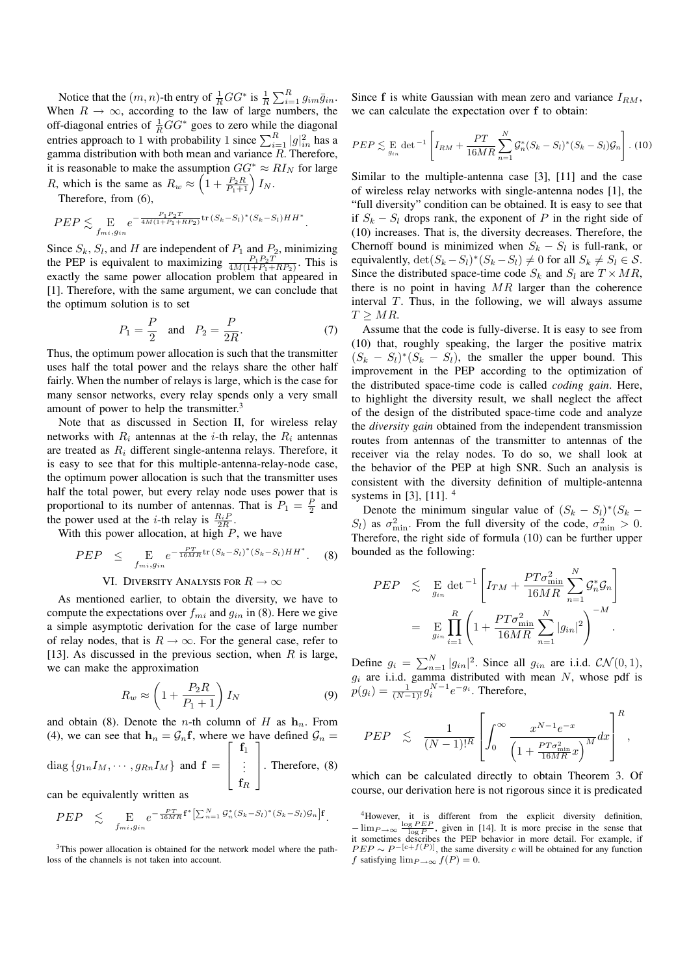Notice that the  $(m, n)$ -th entry of  $\frac{1}{R}GG^*$  is  $\frac{1}{R} \sum_{i=1}^R g_{im} \overline{g}_{in}$ . When  $R \to \infty$ , according to the law of large numbers, the off-diagonal entries of  $\frac{1}{R}GG^*$  goes to zero while the diagonal entries approach to 1 with probability 1 since  $\sum_{i=1}^{R} |g|_{in}^2$  has a gamma distribution with both mean and variance  $R$ . Therefore, it is reasonable to make the assumption  $GG^* \approx RI_N$  for large R, which is the same as  $R_w \approx \left(1 + \frac{P_2 R}{P_1 + 1}\right) I_N$ .

Therefore, from (6),

$$
PEP \lesssim \mathop{\mathbf{E}}_{f_{mi}, g_{in}} e^{-\frac{P_1 P_2 T}{4M(1 + P_1 + RP_2)} \text{tr}(S_k - S_l)^*(S_k - S_l)HH^*}
$$

Since  $S_k$ ,  $S_l$ , and H are independent of  $P_1$  and  $P_2$ , minimizing the PEP is equivalent to maximizing  $\frac{P_1 P_2 T}{4M(1+P_1+RP_2)}$ . This is exactly the same power allocation problem that appeared in [1]. Therefore, with the same argument, we can conclude that the optimum solution is to set

$$
P_1 = \frac{P}{2} \quad \text{and} \quad P_2 = \frac{P}{2R}.\tag{7}
$$

.

Thus, the optimum power allocation is such that the transmitter uses half the total power and the relays share the other half fairly. When the number of relays is large, which is the case for many sensor networks, every relay spends only a very small amount of power to help the transmitter.<sup>3</sup>

Note that as discussed in Section II, for wireless relay networks with  $R_i$  antennas at the *i*-th relay, the  $R_i$  antennas are treated as  $R_i$  different single-antenna relays. Therefore, it is easy to see that for this multiple-antenna-relay-node case, the optimum power allocation is such that the transmitter uses half the total power, but every relay node uses power that is proportional to its number of antennas. That is  $P_1 = \frac{P}{2}$  and the power used at the *i*-th relay is  $\frac{R_i P}{2R}$ .

With this power allocation, at high  $P$ , we have

$$
PEP \leq E_{f_{mi}, g_{in}} e^{-\frac{PT}{16MR} \text{tr} (S_k - S_l)^* (S_k - S_l)HH^*}. \quad (8)
$$

## VI. DIVERSITY ANALYSIS FOR  $R \to \infty$

As mentioned earlier, to obtain the diversity, we have to compute the expectations over  $f_{mi}$  and  $g_{in}$  in (8). Here we give a simple asymptotic derivation for the case of large number of relay nodes, that is  $R \to \infty$ . For the general case, refer to [13]. As discussed in the previous section, when  $R$  is large, we can make the approximation

$$
R_w \approx \left(1 + \frac{P_2 R}{P_1 + 1}\right) I_N \tag{9}
$$

and obtain (8). Denote the *n*-th column of H as  $h_n$ . From (4), we can see that  $\mathbf{h}_n = \mathcal{G}_n \mathbf{f}$ , where we have defined  $\mathcal{G}_n = \begin{bmatrix} \mathbf{f}_1 \\ \mathbf{f}_2 \end{bmatrix}$ 

diag 
$$
\{g_{1n}I_M, \dots, g_{Rn}I_M\}
$$
 and  $\mathbf{f} = \begin{bmatrix} 11 \\ \vdots \\ f_R \end{bmatrix}$ . Therefore, (8)

can be equivalently written as

$$
PEP \leq \mathbb{E}_{f_{mi}, g_{in}} e^{-\frac{PT}{16MR}\mathbf{f}^* \left[\sum_{n=1}^N \mathcal{G}_n^*(S_k - S_l)^*(S_k - S_l)\mathcal{G}_n\right] \mathbf{f}}.
$$

<sup>3</sup>This power allocation is obtained for the network model where the pathloss of the channels is not taken into account.

Since  $f$  is white Gaussian with mean zero and variance  $I_{BM}$ , we can calculate the expectation over **f** to obtain:

$$
PEP \lesssim \underset{g_{in}}{\mathrm{E}} \det^{-1} \left[ I_{RM} + \frac{PT}{16MR} \sum_{n=1}^{N} \mathcal{G}_n^*(S_k - S_l)^*(S_k - S_l)\mathcal{G}_n \right]. (10)
$$

Similar to the multiple-antenna case [3], [11] and the case of wireless relay networks with single-antenna nodes [1], the "full diversity" condition can be obtained. It is easy to see that if  $S_k - S_l$  drops rank, the exponent of P in the right side of (10) increases. That is, the diversity decreases. Therefore, the Chernoff bound is minimized when  $S_k - S_l$  is full-rank, or equivalently,  $\det(S_k - S_l)^*(S_k - S_l) \neq 0$  for all  $S_k \neq S_l \in S$ . Since the distributed space-time code  $S_k$  and  $S_l$  are  $T \times MR$ , there is no point in having  $MR$  larger than the coherence interval  $T$ . Thus, in the following, we will always assume  $T > MR$ .

Assume that the code is fully-diverse. It is easy to see from (10) that, roughly speaking, the larger the positive matrix  $(S_k - S_l)$ <sup>\*</sup> $(S_k - S_l)$ , the smaller the upper bound. This improvement in the PEP according to the optimization of the distributed space-time code is called *coding gain*. Here, to highlight the diversity result, we shall neglect the affect of the design of the distributed space-time code and analyze the *diversity gain* obtained from the independent transmission routes from antennas of the transmitter to antennas of the receiver via the relay nodes. To do so, we shall look at the behavior of the PEP at high SNR. Such an analysis is consistent with the diversity definition of multiple-antenna systems in [3], [11]. <sup>4</sup>

Denote the minimum singular value of  $(S_k - S_l)^*(S_k S_l$ ) as  $\sigma_{\min}^2$ . From the full diversity of the code,  $\sigma_{\min}^2 > 0$ . Therefore, the right side of formula (10) can be further upper bounded as the following:

$$
PEP \leq \mathop{\rm E}_{g_{in}} \det^{-1} \left[ I_{TM} + \frac{PT\sigma_{\min}^2}{16MR} \sum_{n=1}^N \mathcal{G}_n^* \mathcal{G}_n \right]
$$
  
= 
$$
\mathop{\rm E}_{g_{in}} \prod_{i=1}^R \left( 1 + \frac{PT\sigma_{\min}^2}{16MR} \sum_{n=1}^N |g_{in}|^2 \right)^{-M}.
$$

Define  $g_i = \sum_{n=1}^{N} |g_{in}|^2$ . Since all  $g_{in}$  are i.i.d.  $\mathcal{CN}(0,1)$ ,  $g_i$  are i.i.d. gamma distributed with mean N, whose pdf is  $p(g_i) = \frac{1}{(N-1)!} g_i^{N-1} e^{-g_i}$ . Therefore,

$$
PEP \quad \lesssim \quad \frac{1}{(N-1)!^R} \left[ \int_0^\infty \frac{x^{N-1} e^{-x}}{\left(1 + \frac{PT \sigma_{\min}^2}{16MR} x \right)^M} dx \right]^R,
$$

which can be calculated directly to obtain Theorem 3. Of course, our derivation here is not rigorous since it is predicated

<sup>&</sup>lt;sup>4</sup>However, it is different from the explicit diversity definition,  $-\lim_{P\to\infty} \frac{\log PEP}{\log P}$ , given in [14]. It is more precise in the sense that it sometimes describes the PEP behavior in more detail. For example, if  $PEP \sim P^{-[c+f(P)]}$ , the same diversity c will be obtained for any function f satisfying  $\lim_{P\to\infty} f(P)=0$ .